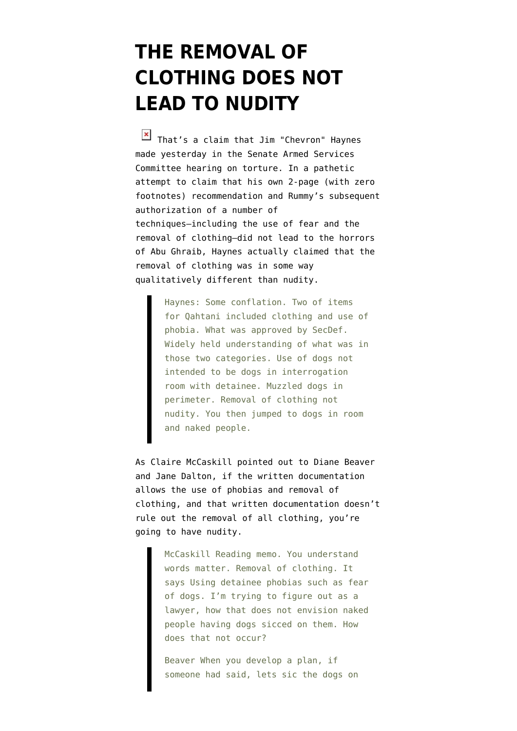## **[THE REMOVAL OF](https://www.emptywheel.net/2008/06/18/the-removal-of-clothing-does-not-lead-to-nudity/) [CLOTHING DOES NOT](https://www.emptywheel.net/2008/06/18/the-removal-of-clothing-does-not-lead-to-nudity/) [LEAD TO NUDITY](https://www.emptywheel.net/2008/06/18/the-removal-of-clothing-does-not-lead-to-nudity/)**

That's a claim that Jim ["Chevron](http://www.law.com/jsp/article.jsp?id=1207824254562)" Haynes made yesterday in the [Senate Armed Services](http://emptywheel.firedoglake.com/2008/06/17/senate-armed-services-torture-hearing-four-haynes/) [Committee hearing on torture](http://emptywheel.firedoglake.com/2008/06/17/senate-armed-services-torture-hearing-four-haynes/). In a pathetic attempt to claim that his own 2-page (with zero footnotes) recommendation and Rummy's subsequent authorization of a number of techniques–including the use of fear and the removal of clothing–did not lead to the horrors of Abu Ghraib, Haynes actually claimed that the removal of clothing was in some way qualitatively different than nudity.

> Haynes: Some conflation. Two of items for Qahtani included clothing and use of phobia. What was approved by SecDef. Widely held understanding of what was in those two categories. Use of dogs not intended to be dogs in interrogation room with detainee. Muzzled dogs in perimeter. Removal of clothing not nudity. You then jumped to dogs in room and naked people.

As Claire McCaskill [pointed out](http://emptywheel.firedoglake.com/2008/06/17/senate-armed-services-torture-hearing-two/) to Diane Beaver and Jane Dalton, if the written documentation allows the use of phobias and removal of clothing, and that written documentation doesn't rule out the removal of all clothing, you're going to have nudity.

> McCaskill Reading memo. You understand words matter. Removal of clothing. It says Using detainee phobias such as fear of dogs. I'm trying to figure out as a lawyer, how that does not envision naked people having dogs sicced on them. How does that not occur?

Beaver When you develop a plan, if someone had said, lets sic the dogs on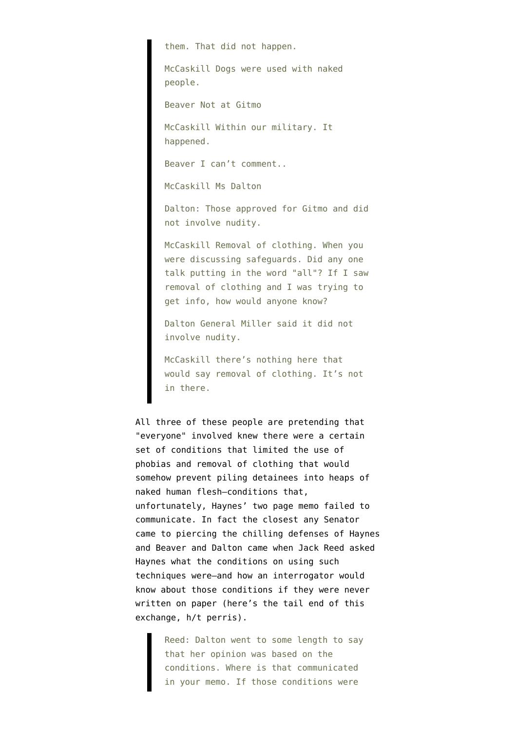them. That did not happen.

McCaskill Dogs were used with naked people.

Beaver Not at Gitmo

McCaskill Within our military. It happened.

Beaver I can't comment..

McCaskill Ms Dalton

Dalton: Those approved for Gitmo and did not involve nudity.

McCaskill Removal of clothing. When you were discussing safeguards. Did any one talk putting in the word "all"? If I saw removal of clothing and I was trying to get info, how would anyone know?

Dalton General Miller said it did not involve nudity.

McCaskill there's nothing here that would say removal of clothing. It's not in there.

All three of these people are pretending that "everyone" involved knew there were a certain set of conditions that limited the use of phobias and removal of clothing that would somehow prevent piling detainees into heaps of naked human flesh–conditions that, unfortunately, Haynes' two page memo failed to communicate. In fact the closest any Senator came to piercing the chilling defenses of Haynes and Beaver and Dalton came when Jack Reed asked Haynes what the conditions on using such techniques were–and how an interrogator would know about those conditions if they were never written on paper ([here's](http://thinkprogress.org/2008/06/18/sen-reed-castigates-william-haynes-you-denigrated-the-integrity-of-the-us-military/) the tail end of this exchange, h/t [perris](http://emptywheel.firedoglake.com/2008/06/18/the-removal-of-clothing-does-not-lead-to-nudity/#comment-78575)).

> Reed: Dalton went to some length to say that her opinion was based on the conditions. Where is that communicated in your memo. If those conditions were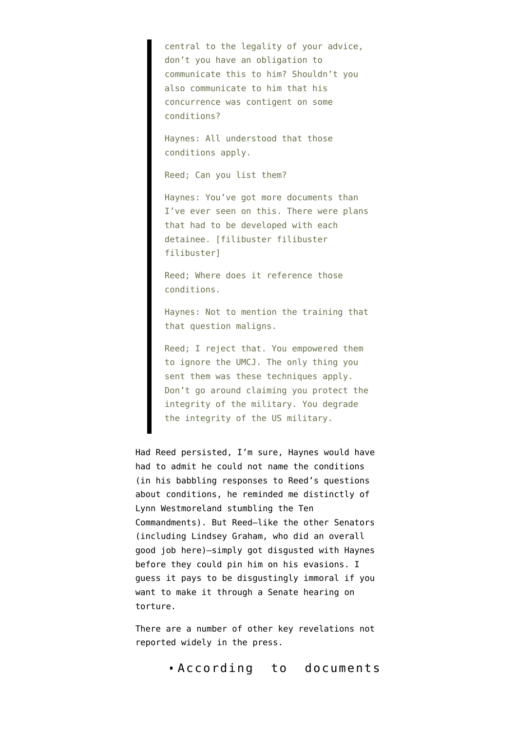central to the legality of your advice, don't you have an obligation to communicate this to him? Shouldn't you also communicate to him that his concurrence was contigent on some conditions?

Haynes: All understood that those conditions apply.

Reed; Can you list them?

Haynes: You've got more documents than I've ever seen on this. There were plans that had to be developed with each detainee. [filibuster filibuster filibuster]

Reed; Where does it reference those conditions.

Haynes: Not to mention the training that that question maligns.

Reed; I reject that. You empowered them to ignore the UMCJ. The only thing you sent them was these techniques apply. Don't go around claiming you protect the integrity of the military. You degrade the integrity of the US military.

Had Reed persisted, I'm sure, Haynes would have had to admit he could not name the conditions (in his babbling responses to Reed's questions about conditions, he reminded me distinctly of Lynn Westmoreland [stumbling the Ten](http://www.jibjab.com/view/67649) [Commandments](http://www.jibjab.com/view/67649)). But Reed–like the other Senators (including Lindsey Graham, who did an overall good job here)–simply got disgusted with Haynes before they could pin him on his evasions. I guess it pays to be disgustingly immoral if you want to make it through a Senate hearing on torture.

There are a number of other key revelations not reported widely in the press.

According to [documents](http://levin.senate.gov/newsroom/supporting/2008/Documents.SASC.061708.pdf)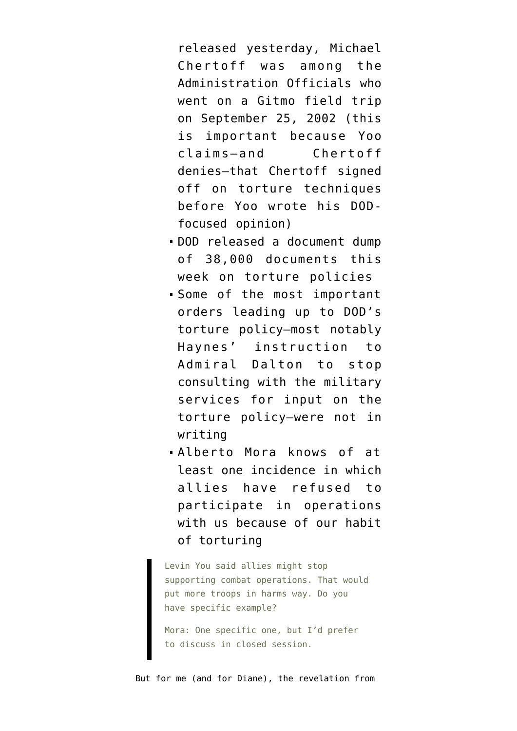released yesterday, Michael Chertoff was among the Administration Officials who went on a Gitmo field trip on September 25, 2002 (this is important because Yoo claims–and [Chertoff](http://emptywheel.firedoglake.com/2008/06/04/john-yoo-v-alice-fisher-and-michael-chertoff/) [denies–](http://emptywheel.firedoglake.com/2008/06/04/john-yoo-v-alice-fisher-and-michael-chertoff/)that Chertoff signed off on torture techniques before Yoo wrote his DODfocused opinion)

- DOD released a document dump of 38,000 documents this week on torture policies
- Some of the most important orders leading up to DOD's torture policy–most notably Haynes' instruction to Admiral Dalton to stop consulting with the military services for input on the torture policy–were not in writing
- Alberto Mora knows of at least one incidence in which allies have refused to participate in operations with us because of our habit of torturing

Levin You said allies might stop supporting combat operations. That would put more troops in harms way. Do you have specific example?

Mora: One specific one, but I'd prefer to discuss in closed session.

But for me (and for [Diane\)](http://emptywheel.firedoglake.com/2008/06/17/senate-armed-services-torture-hearing-four-haynes/#comment-78395), the revelation from